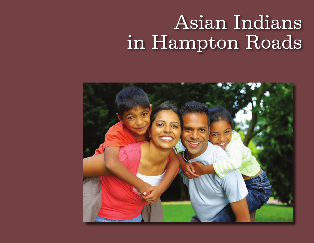# Asian Indians in Hampton Roads

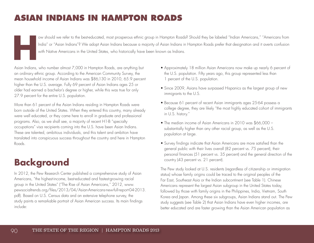### **ASIAN INDIANS IN HAMPTON ROADS**

IMP ov should we refer to the best-educated, most prosperous ethnic group in Hampton Roads? Should they be labeled "Indian Americans," "Americans from Indian" or "Asian Indians"? We adopt Asian Indians because a majority o India" or "Asian Indians"? We adopt Asian Indians because a majority of Asian Indians in Hampton Roads prefer that designation and it averts confusion with Native Americans in the United States, who historically have been known as Indians.

Asian Indians, who number almost 7,000 in Hampton Roads, are anything but an ordinary ethnic group. According to the American Community Survey, the mean household income of Asian Indians was \$86,130 in 2010, 65.9 percent higher than the U.S. average. Fully 69 percent of Asian Indians ages 25 or older had earned a bachelor's degree or higher, while this was true for only 27.9 percent for the entire U.S. population.

More than 61 percent of the Asian Indians residing in Hampton Roads were born outside of the United States. When they entered this country, many already were well educated, or they came here to enroll in graduate and professional programs. Also, as we shall see, a majority of recent H1-B "specialty occupations" visa recipients coming into the U.S. have been Asian Indians. These are talented, ambitious individuals, and this talent and ambition have translated into conspicuous success throughout the country and here in Hampton Roads.

### **Background**

In 2012, the Pew Research Center published a comprehensive study of Asian Americans, "the highest-income, best-educated and fastest-growing racial group in the United States" ("The Rise of Asian Americans," 2012, www. pewsocialtrends.org/files/2013/04/Asian-Americans-new-full-report-04-2013. pdf). Based on U.S. Census data and an extensive telephone survey, the study paints a remarkable portrait of Asian American success. Its main findings include:

- Approximately 18 million Asian Americans now make up nearly 6 percent of the U.S. population. Fifty years ago, this group represented less than 1 percent of the U.S. population.
- Since 2009, Asians have surpassed Hispanics as the largest group of new immigrants to the U.S.
- Because 61 percent of recent Asian immigrants ages 25-64 possess a college degree, they are likely "the most highly educated cohort of immigrants in U.S. history."
- The median income of Asian Americans in 2010 was \$66,000 substantially higher than any other racial group, as well as the U.S. population at large.
- Survey findings indicate that Asian Americans are more satisfied than the general public with their lives overall (82 percent vs. 75 percent), their personal finances (51 percent vs. 35 percent) and the general direction of the country (43 percent vs. 21 percent).

The Pew study looked at U.S. residents (regardless of citizenship or immigration status) whose family origins could be traced to the original peoples of the Far East, Southeast Asia or the Indian subcontinent (see Table 1). Chinese Americans represent the largest Asian subgroup in the United States today, followed by those with family origins in the Philippines, India, Vietnam, South Korea and Japan. Among these six subgroups, Asian Indians stand out. The Pew study suggests (see Table 2) that Asian Indians have even higher incomes, are better educated and are faster growing than the Asian American population as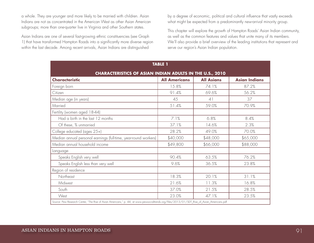a whole. They are younger and more likely to be married with children. Asian Indians are not as concentrated in the American West as other Asian American subgroups; more than one-quarter live in Virginia and other Southern states.

Asian Indians are one of several fast-growing ethnic constituencies (see Graph 1) that have transformed Hampton Roads into a significantly more diverse region within the last decade. Among recent arrivals, Asian Indians are distinguished

by a degree of economic, political and cultural influence that vastly exceeds what might be expected from a predominantly new-arrival minority group.

This chapter will explore the growth of Hampton Roads' Asian Indian community, as well as the common features and values that unite many of its members. We'll also provide a brief overview of the leading institutions that represent and serve our region's Asian Indian population.

| <b>TABLE 1</b>                                                                                                                              |                      |                   |                      |  |  |  |
|---------------------------------------------------------------------------------------------------------------------------------------------|----------------------|-------------------|----------------------|--|--|--|
| <b>CHARACTERISTICS OF ASIAN INDIAN ADULTS IN THE U.S., 2010</b>                                                                             |                      |                   |                      |  |  |  |
| <b>Characteristic</b>                                                                                                                       | <b>All Americans</b> | <b>All Asians</b> | <b>Asian Indians</b> |  |  |  |
| Foreign born                                                                                                                                | 15.8%                | 74.1%             | 87.2%                |  |  |  |
| Citizen                                                                                                                                     | 91.4%                | 69.6%             | 56.2%                |  |  |  |
| Median age (in years)                                                                                                                       | 45                   | 41                | 37                   |  |  |  |
| Married                                                                                                                                     | 51.4%                | 59.0%             | 70.9%                |  |  |  |
| Fertility (women aged 18-44)                                                                                                                |                      |                   |                      |  |  |  |
| Had a birth in the last 12 months                                                                                                           | 7.1%                 | 6.8%              | 8.4%                 |  |  |  |
| Of these, % unmarried                                                                                                                       | 37.1%                | 14.6%             | 2.3%                 |  |  |  |
| College educated (ages 25+)                                                                                                                 | 28.2%                | 49.0%             | 70.0%                |  |  |  |
| Median annual personal earnings (full-time, year-round workers)                                                                             | \$40,000             | \$48,000          | \$65,000             |  |  |  |
| Median annual household income                                                                                                              | \$49,800             | \$66,000          | \$88,000             |  |  |  |
| Language                                                                                                                                    |                      |                   |                      |  |  |  |
| Speaks English very well                                                                                                                    | 90.4%                | 63.5%             | 76.2%                |  |  |  |
| Speaks English less than very well                                                                                                          | 9.6%                 | 36.5%             | 23.8%                |  |  |  |
| Region of residence                                                                                                                         |                      |                   |                      |  |  |  |
| Northeast                                                                                                                                   | 18.3%                | 20.1%             | 31.1%                |  |  |  |
| Midwest                                                                                                                                     | 21.6%                | 11.3%             | 16.8%                |  |  |  |
| South                                                                                                                                       | 37.0%                | 21.5%             | 28.5%                |  |  |  |
| West                                                                                                                                        | 23.0%                | 47.1%             | 23.5%                |  |  |  |
| Source: Pew Research Center, "The Rise of Asian Americans," p. 44, at www.pewsocialtrends.org/files/2013/01/SDT_Rise_of_Asian_Americans.pdf |                      |                   |                      |  |  |  |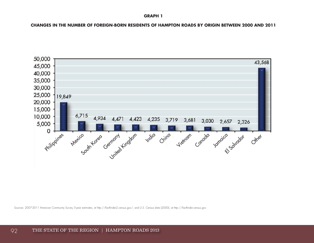#### **GRAPH 1**

**CHANGES IN THE NUMBER OF FOREIGN-BORN RESIDENTS OF HAMPTON ROADS BY ORIGIN BETWEEN 2000 AND 2011**



Sources: 2007-2011 American Community Survey 5-year estimates, at http://factfinder2.census.gov/, and U.S. Census data (2000), at http://factfinder.census.gov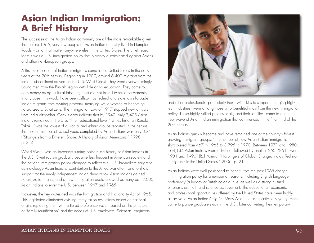### **Asian Indian Immigration: A Brief History**

The successes of the Asian Indian community are all the more remarkable given that before 1965, very few people of Asian Indian ancestry lived in Hampton Roads – or for that matter, anywhere else in the United States. The chief reason for this was a U.S. immigration policy that blatantly discriminated against Asians and other non-European groups.

A first, small cohort of Indian immigrants came to the United States in the early years of the 20th century. Beginning in 1907, around 6,400 migrants from the Indian subcontinent arrived on the U.S. West Coast. They were overwhelmingly young men from the Punjab region with little or no education. They came to earn money as agricultural laborers; most did not intend to settle permanently. In any case, this would have been difficult, as federal and state laws forbade Indian migrants from owning property, marrying white women or becoming naturalized U.S. citizens. The Immigration Law of 1917 stopped new arrivals from India altogether. Census data indicate that by 1940, only 2,405 Asian Indians remained in the U.S. "Their educational level," writes historian Ronald Takaki, "was the lowest of all racial and ethnic groups reported in the census: the median number of school years completed by Asian Indians was only 3.7" ("Strangers from a Different Shore: A History of Asian Americans," 1998, p. 314).

World War II was an important turning point in the history of Asian Indians in the U.S. Overt racism gradually became less frequent in American society and the nation's immigration policy changed to reflect this. U.S. lawmakers sought to acknowledge Asian Indians' contribution to the Allied war effort, and to show support for the newly independent Indian democracy. Asian Indians gained naturalization rights, and a new immigration quota allowed as many as 12,000 Asian Indians to enter the U.S. between 1947 and 1965.

However, the key watershed was the Immigration and Nationality Act of 1965. This legislation eliminated existing immigration restrictions based on national origin, replacing them with a tiered preference system based on the principle of "family reunification" and the needs of U.S. employers. Scientists, engineers



and other professionals, particularly those with skills to support emerging hightech industries, were among those who benefited most from the new immigration policy. These highly skilled professionals, and their families, came to define the new wave of Asian Indian immigration that commenced in the final third of the 20th century.

Asian Indians quickly became and have remained one of the country's fastestgrowing immigrant groups: "The number of new Asian Indian immigrants skyrocketed from 467 in 1965 to 8,795 in 1970. Between 1971 and 1980, 164,134 Asian Indians were admitted, followed by another 250,786 between 1981 and 1990" (Roli Varma, "Harbingers of Global Change: India's Techno-Immigrants in the United States," 2006, p. 21).

Asian Indians were well positioned to benefit from the post-1965 change in immigration policy for a number of reasons, including English language proficiency (a legacy of British colonial rule) as well as a strong cultural emphasis on math and science achievement. The educational, economic and professional opportunities offered by the United States have been highly attractive to Asian Indian émigrés. Many Asian Indians (particularly young men) came to pursue graduate study in the U.S., later converting their temporary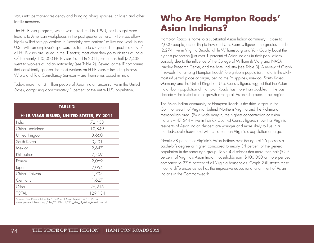status into permanent residency and bringing along spouses, children and other family members.

The H-1B visa program, which was introduced in 1990, has brought more Indians to American workplaces in the past quarter century. H-1B visas allow highly skilled foreign workers in "specialty occupations" to live and work in the U.S., with an employer's sponsorship, for up to six years. The great majority of all H-1B visas are issued in the IT sector; most often they go to citizens of India. Of the nearly 130,000 H-1B visas issued in 2011, more than half (72,438) went to workers of Indian nationality (see Table 2). Several of the IT companies that consistently sponsor the most workers on H1-B visas – including Infosys, Wipro and Tata Consultancy Services – are themselves based in India.

Today, more than 3 million people of Asian Indian ancestry live in the United States, comprising approximately 1 percent of the entire U.S. population.

| <b>TABLE 2</b>                                                                                                                                  |         |  |  |  |
|-------------------------------------------------------------------------------------------------------------------------------------------------|---------|--|--|--|
| H-1B VISAS ISSUED, UNITED STATES, FY 2011                                                                                                       |         |  |  |  |
| India                                                                                                                                           | 72,438  |  |  |  |
| China - mainland                                                                                                                                | 10,849  |  |  |  |
| United Kingdom                                                                                                                                  | 3,660   |  |  |  |
| South Korea                                                                                                                                     | 3,501   |  |  |  |
| Mexico                                                                                                                                          | 2,647   |  |  |  |
| Philippines                                                                                                                                     | 2,369   |  |  |  |
| France                                                                                                                                          | 2,069   |  |  |  |
| Japan                                                                                                                                           | 2,054   |  |  |  |
| China - Taiwan                                                                                                                                  | 1,705   |  |  |  |
| Germany                                                                                                                                         | 1,627   |  |  |  |
| Other                                                                                                                                           | 26,215  |  |  |  |
| <b>TOTAL</b>                                                                                                                                    | 129,134 |  |  |  |
| Source: Pew Research Center, "The Rise of Asian Americans," p. 27, at:<br>www.pewsocialtrends.org/files/2013/01/SDT_Rise_of_Asian_Americans.pdf |         |  |  |  |

### **Who Are Hampton Roads' Asian Indians?**

Hampton Roads is home to a substantial Asian Indian community – close to 7,000 people, according to Pew and U.S. Census figures. The greatest number (2,274) live in Virginia Beach, while Williamsburg and York County boast the highest proportion (just over 1 percent) of Asian Indians in their populations, possibly due to the influence of the College of William & Mary and NASA Langley Research Center, and the hotel industry (see Table 3). A review of Graph 1 reveals that among Hampton Roads' foreign-born population, India is the sixthmost influential place of origin, behind the Philippines, Mexico, South Korea, Germany and the United Kingdom. U.S. Census figures suggest that the Asian Indian-born population of Hampton Roads has more than doubled in the past decade – the fastest rate of growth among all Asian subgroups in our region.

The Asian Indian community of Hampton Roads is the third largest in the Commonwealth of Virginia, behind Northern Virginia and the Richmond metropolitan area. (By a wide margin, the highest concentration of Asian Indians – 47,544 – live in Fairfax County.) Census figures show that Virginia residents of Asian Indian descent are younger and more likely to live in a married-couple household with children than Virginia's population at large.

Nearly 78 percent of Virginia's Asian Indians over the age of 25 possess a bachelor's degree or higher, compared to nearly 34 percent of the general population in the same age group. Table 4 discloses that more than half (52.5 percent) of Virginia's Asian Indian households earn \$100,000 or more per year, compared to 27.6 percent of all Virginia households. Graph 2 illustrates these income differences as well as the impressive educational attainment of Asian Indians in the Commonwealth.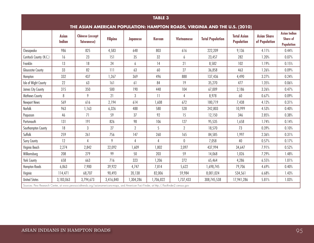| <b>TABLE 3</b>                                                                                                                           |                               |                                              |                 |                           |               |                   |                         |                                         |                                     |                                                             |
|------------------------------------------------------------------------------------------------------------------------------------------|-------------------------------|----------------------------------------------|-----------------|---------------------------|---------------|-------------------|-------------------------|-----------------------------------------|-------------------------------------|-------------------------------------------------------------|
| THE ASIAN AMERICAN POPULATION: HAMPTON ROADS, VIRGINIA AND THE U.S. (2010)                                                               |                               |                                              |                 |                           |               |                   |                         |                                         |                                     |                                                             |
|                                                                                                                                          | <b>Asian</b><br><b>Indian</b> | <b>Chinese (except</b><br><b>Taiwanese</b> ) | <b>Filipino</b> | <b>Japanese</b>           | <b>Korean</b> | <b>Vietnamese</b> | <b>Total Population</b> | <b>Total Asian</b><br><b>Population</b> | <b>Asian Share</b><br>of Population | <b>Asian Indian</b><br><b>Share of</b><br><b>Population</b> |
| Chesapeake                                                                                                                               | 986                           | 825                                          | 4,583           | 648                       | 803           | 616               | 222,209                 | 9,136                                   | 4.11%                               | 0.44%                                                       |
| Currituck County (N.C.)                                                                                                                  | 16                            | 23                                           | 151             | 35                        | 32            | 6                 | 23,457                  | 282                                     | 1.20%                               | 0.07%                                                       |
| Franklin                                                                                                                                 | 13                            | 18                                           | 24              | 6                         | 14            | 21                | 8,582                   | 102                                     | 1.19%                               | 0.15%                                                       |
| Gloucester County                                                                                                                        | 33                            | 82                                           | 111             | 63                        | 60            | 27                | 36,858                  | 463                                     | 1.26%                               | 0.09%                                                       |
| Hampton                                                                                                                                  | 332                           | 437                                          | 1,267           | 369                       | 496           | 888               | 137,436                 | 4,490                                   | 3.27%                               | 0.24%                                                       |
| Isle of Wight County                                                                                                                     | 22                            | 63                                           | 161             | 61                        | 84            | 19                | 35,270                  | 477                                     | 1.35%                               | 0.06%                                                       |
| James City County                                                                                                                        | 315                           | 350                                          | 500             | 190                       | 448           | 104               | 67,009                  | 2,186                                   | 3.26%                               | 0.47%                                                       |
| Mathews County                                                                                                                           | 8                             | 9                                            | 21              | $\mathbf{3}$              | 11            | $\overline{4}$    | 8,978                   | 60                                      | 0.67%                               | 0.09%                                                       |
| <b>Newport News</b>                                                                                                                      | 569                           | 616                                          | 2,194           | 614                       | 1,608         | 672               | 180,719                 | 7,438                                   | 4.12%                               | 0.31%                                                       |
| Norfolk                                                                                                                                  | 963                           | 1,163                                        | 6,326           | 488                       | 580           | 528               | 242,803                 | 10,999                                  | 4.53%                               | 0.40%                                                       |
| Poquoson                                                                                                                                 | 46                            | 71                                           | 59              | 37                        | 92            | 15                | 12,150                  | 346                                     | 2.85%                               | 0.38%                                                       |
| Portsmouth                                                                                                                               | 131                           | 191                                          | 826             | 98                        | 106           | 127               | 95,535                  | 1,658                                   | 1.74%                               | 0.14%                                                       |
| Southampton County                                                                                                                       | 18                            | $\mathbf{3}$                                 | 27              | $\overline{2}$            | 5             | $\overline{2}$    | 18,570                  | 73                                      | 0.39%                               | 0.10%                                                       |
| Suffolk                                                                                                                                  | 259                           | 261                                          | 756             | 147                       | 260           | 165               | 84,585                  | 1,997                                   | 2.36%                               | 0.31%                                                       |
| Surry County                                                                                                                             | 12                            |                                              | 9               | $\boldsymbol{\varLambda}$ |               | 0                 | 7,058                   | 40                                      | 0.57%                               | 0.17%                                                       |
| Virginia Beach                                                                                                                           | 2,274                         | 2,842                                        | 22,092          | 1,609                     | 1,802         | 2,097             | 437,994                 | 34,647                                  | 7.91%                               | 0.52%                                                       |
| Williamsburg                                                                                                                             | 208                           | 279                                          | 99              | 50                        | 203           | 59                | 14,068                  | 1,026                                   | 7.29%                               | 1.48%                                                       |
| York County                                                                                                                              | 658                           | 663                                          | 716             | 323                       | 1,206         | 272               | 65,464                  | 4,286                                   | 6.55%                               | 1.01%                                                       |
| <b>Hampton Roads</b>                                                                                                                     | 6,863                         | 7,900                                        | 39,922          | 4,747                     | 7,814         | 5,622             | 1,698,745               | 79,706                                  | 4.69%                               | 0.40%                                                       |
| Virginia                                                                                                                                 | 114,471                       | 68,707                                       | 90,493          | 20,138                    | 82,006        | 59,984            | 8,001,024               | 534,561                                 | 6.68%                               | 1.43%                                                       |
| <b>United States</b>                                                                                                                     | 3,183,063                     | 3,794,673                                    | 3,416,840       | 1,304,286                 | 1,706,822     | 1,737,433         | 308,745,538             | 17,941,286                              | 5.81%                               | 1.03%                                                       |
| Sources: Pew Research Center, at www.pewsocialtrends.org/asianamericans-maps, and American Fact Finder, at http://factfinder2.census.gov |                               |                                              |                 |                           |               |                   |                         |                                         |                                     |                                                             |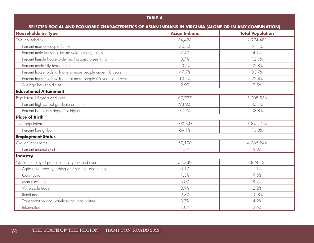#### **TABLE 4**

| SELECTED SOCIAL AND ECONOMIC CHARACTERISTICS OF ASIAN INDIANS IN VIRGINIA (ALONE OR IN ANY COMBINATION) |                      |                         |  |  |  |
|---------------------------------------------------------------------------------------------------------|----------------------|-------------------------|--|--|--|
| <b>Households by Type</b>                                                                               | <b>Asian Indians</b> | <b>Total Population</b> |  |  |  |
| Total households                                                                                        | 34,428               | 2,974,481               |  |  |  |
| Percent married-couple family                                                                           | 70.5%                | 51.1%                   |  |  |  |
| Percent male householder, no wife present, family                                                       | 2.4%                 | 4.1%                    |  |  |  |
| Percent female householder, no husband present, family                                                  | 3.7%                 | 12.0%                   |  |  |  |
| Percent nonfamily households                                                                            | 23.5%                | 32.8%                   |  |  |  |
| Percent households with one or more people under 18 years                                               | 47.7%                | 33.7%                   |  |  |  |
| Percent households with one or more people 65 years and over                                            | 10.3%                | 22.4%                   |  |  |  |
| Average household size                                                                                  | 2.99                 | 2.56                    |  |  |  |
| <b>Educational Attainment</b>                                                                           |                      |                         |  |  |  |
| Population 25 years and over                                                                            | 67,727               | 5,208,536               |  |  |  |
| Percent high school graduate or higher                                                                  | 93.9%                | 86.1%                   |  |  |  |
| Percent bachelor's degree or higher                                                                     | 77.7%                | 33.8%                   |  |  |  |
| <b>Place of Birth</b>                                                                                   |                      |                         |  |  |  |
| Total population                                                                                        | 103,348              | 7,841,754               |  |  |  |
| Percent foreign-born                                                                                    | 69.1%                | 10.8%                   |  |  |  |
| <b>Employment Status</b>                                                                                |                      |                         |  |  |  |
| Civilian labor force                                                                                    | 57,190               | 4,065,244               |  |  |  |
| Percent unemployed                                                                                      | 4.3%                 | 5.9%                    |  |  |  |
| Industry                                                                                                |                      |                         |  |  |  |
| Civilian employed population 16 years and over                                                          | 54,730               | 3,824,131               |  |  |  |
| Agriculture, forestry, fishing and hunting, and mining                                                  | 0.1%                 | 1.1%                    |  |  |  |
| Construction                                                                                            | 1.3%                 | 7.5%                    |  |  |  |
| Manufacturing                                                                                           | 3.0%                 | 8.2%                    |  |  |  |
| Wholesale trade                                                                                         | 0.9%                 | 2.2%                    |  |  |  |
| Retail trade                                                                                            | 9.3%                 | 10.8%                   |  |  |  |
| Transportation and warehousing, and utilities                                                           | 3.7%                 | 4.2%                    |  |  |  |
| Information                                                                                             | 4.9%                 | 2.5%                    |  |  |  |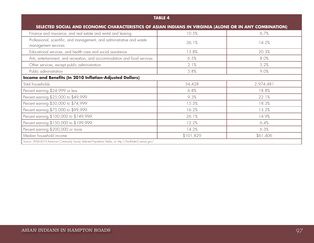| <b>TABLE 4</b>                                                                                             |           |           |  |  |  |
|------------------------------------------------------------------------------------------------------------|-----------|-----------|--|--|--|
| SELECTED SOCIAL AND ECONOMIC CHARACTERISTICS OF ASIAN INDIANS IN VIRGINIA (ALONE OR IN ANY COMBINATION)    |           |           |  |  |  |
| Finance and insurance, and real estate and rental and leasing                                              | 10.5%     | 6.7%      |  |  |  |
| Professional, scientific, and management, and administrative and waste<br>management services              | 36.1%     | 14.2%     |  |  |  |
| Educational services, and health care and social assistance                                                | 15.8%     | 20.3%     |  |  |  |
| Arts, entertainment, and recreation, and accommodation and food services                                   | 6.5%      | 8.0%      |  |  |  |
| Other services, except public administration                                                               | 2.1%      | 5.2%      |  |  |  |
| Public administration                                                                                      | 5.8%      | 9.0%      |  |  |  |
| Income and Benefits (In 2010 Inflation-Adjusted Dollars)                                                   |           |           |  |  |  |
| Total households                                                                                           | 34,428    | 2,974,481 |  |  |  |
| Percent earning \$24,999 or less                                                                           | 6.8%      | 18.8%     |  |  |  |
| Percent earning \$25,000 to \$49,999                                                                       | 9.3%      | 22.1%     |  |  |  |
| Percent earning \$50,000 to \$74,999                                                                       | 15.3%     | 18.3%     |  |  |  |
| Percent earning \$75,000 to \$99,999                                                                       | 16.2%     | 13.2%     |  |  |  |
| Percent earning \$100,000 to \$149,999                                                                     | 26.1%     | 14.9%     |  |  |  |
| Percent earning \$150,000 to \$199,999                                                                     | 12.2%     | 6.4%      |  |  |  |
| Percent earning \$200,000 or more                                                                          | 14.2%     | 6.3%      |  |  |  |
| Median household income                                                                                    | \$101,829 | \$61,406  |  |  |  |
| Source: 2006-2010 American Community Survey Selected Population Tables, at: http://factfinder2.census.gov/ |           |           |  |  |  |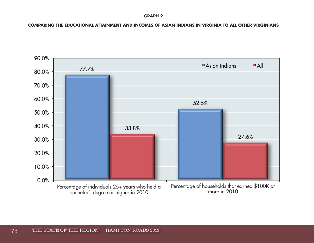**GRAPH 2**

**COMPARING THE EDUCATIONAL ATTAINMENT AND INCOMES OF ASIAN INDIANS IN VIRGINIA TO ALL OTHER VIRGINIANS**

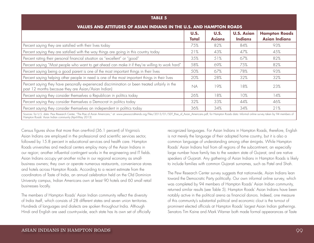| <b>TABLE 5</b>                                                                                                                                                                                                                                                                         |                             |                              |                                     |                                              |  |  |
|----------------------------------------------------------------------------------------------------------------------------------------------------------------------------------------------------------------------------------------------------------------------------------------|-----------------------------|------------------------------|-------------------------------------|----------------------------------------------|--|--|
| VALUES AND ATTITUDES OF ASIAN INDIANS IN THE U.S. AND HAMPTON ROADS                                                                                                                                                                                                                    |                             |                              |                                     |                                              |  |  |
|                                                                                                                                                                                                                                                                                        | <b>U.S.</b><br><b>Total</b> | <b>U.S.</b><br><b>Asians</b> | <b>U.S. Asian</b><br><b>Indians</b> | <b>Hampton Roads</b><br><b>Asian Indians</b> |  |  |
| Percent saying they are satisfied with their lives today                                                                                                                                                                                                                               | 75%                         | 82%                          | 84%                                 | 93%                                          |  |  |
| Percent saying they are satisfied with the way things are going in this country today                                                                                                                                                                                                  | 21%                         | 43%                          | 47%                                 | 45%                                          |  |  |
| Percent rating their personal financial situation as "excellent" or "good"                                                                                                                                                                                                             | 35%                         | 51%                          | 67%                                 | 82%                                          |  |  |
| Percent saying "Most people who want to get ahead can make it if they're willing to work hard"                                                                                                                                                                                         | 58%                         | 69%                          | 75%                                 | 82%                                          |  |  |
| Percent saying being a good parent is one of the most important things in their lives                                                                                                                                                                                                  | 50%                         | 67%                          | 78%                                 | 93%                                          |  |  |
| Percent saying helping other people in need is one of the most important things in their lives                                                                                                                                                                                         | 20%                         | 28%                          | 32%                                 | 32%                                          |  |  |
| Percent saying they have personally experienced discrimination or been treated unfairly in the<br>past 12 months because they are Asian/Asian Indian)                                                                                                                                  | <b>NA</b>                   | 19%                          | 18%                                 | 23%                                          |  |  |
| Percent saying they consider themselves a Republican in politics today                                                                                                                                                                                                                 | 26%                         | 18%                          | 10%                                 | 14%                                          |  |  |
| Percent saying they consider themselves a Democrat in politics today                                                                                                                                                                                                                   | 32%                         | 33%                          | 44%                                 | 46%                                          |  |  |
| Percent saying they consider themselves an independent in politics today                                                                                                                                                                                                               | 36%                         | 34%                          | 34%                                 | 21%                                          |  |  |
| Sources: for U.S. data: Pew Research Center, "The Rise of Asian Americans," at: www.pewsocialtrends.org/files/2013/01/SDT_Rise_of_Asian_Americans.pdf; for Hampton Roads data: Informal online survey taken by 94 members of<br>Hampton Roads' Asian Indian community (April-May 2013) |                             |                              |                                     |                                              |  |  |

Census figures show that more than one-third (36.1 percent) of Virginia's Asian Indians are employed in the professional and scientific services sector, followed by 15.8 percent in educational services and health care. Hampton Roads universities and medical centers employ many of the Asian Indians in our region; another influential contingent works in the engineering and IT fields. Asian Indians occupy yet another niche in our regional economy as smallbusiness owners; they own or operate numerous restaurants, convenience stores and hotels across Hampton Roads. According to a recent estimate from the coordinators of Taste of India, an annual celebration held on the Old Dominion University campus, Indian Americans own at least 90 hotels and 60 small retail businesses locally.

The members of Hampton Roads' Asian Indian community reflect the diversity of India itself, which consists of 28 different states and seven union territories. Hundreds of languages and dialects are spoken throughout India. Although Hindi and English are used countrywide, each state has its own set of officially recognized languages. For Asian Indians in Hampton Roads, therefore, English is not merely the language of their adopted home country, but it is also a common language of understanding among other émigrés. While Hampton Roads' Asian Indians hail from all regions of the subcontinent, an especially large number have family ties to the western state of Gujarat, and are native speakers of Gujarati. Any gathering of Asian Indians in Hampton Roads is likely to include families with common Gujarati surnames, such as Patel and Shah.

The Pew Research Center survey suggests that nationwide, Asian Indians lean toward the Democratic Party politically. Our own informal online survey, which was completed by 94 members of Hampton Roads' Asian Indian community, returned similar results (see Table 5). Hampton Roads' Asian Indians have been notably active in the political arena as financial donors. Indeed, one measure of this community's substantial political and economic clout is the turnout of prominent elected officials at Hampton Roads' largest Asian Indian gatherings. Senators Tim Kaine and Mark Warner both made formal appearances at Taste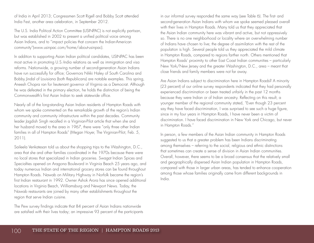of India in April 2013; Congressmen Scott Rigell and Bobby Scott attended India Fest, another area celebration, in September 2012.

The U.S. India Political Action Committee (USINPAC) is not explicitly partisan, but was established in 2002 to present a unified political voice among Asian Indians, and to "impact policies that concern the Indian-American community"(www.usinpac.com/home/about-usinpac).

In addition to supporting Asian Indian political candidates, USINPAC has been most active in promoting U.S.-India relations as well as immigration and visa reforms. Nationwide, a growing number of second-generation Asian Indians have run successfully for office; Governors Nikki Haley of South Carolina and Bobby Jindal of Louisiana (both Republicans) are notable examples. This spring, Aneesh Chopra ran for lieutenant governor of Virginia as a Democrat. Although he was defeated in the primary election, he holds the distinction of being the Commonwealth's first Asian Indian to seek statewide office.

Nearly all of the long-standing Asian Indian residents of Hampton Roads with whom we spoke commented on the remarkable growth of the region's Indian community and community infrastructure within the past decades. Community leader Jagdish Singh recalled in a Virginian-Pilot article that when she and her husband moved to the area in 1967, there were "only three other Indian families in all of Hampton Roads" (Megan Hoyer, The Virginian-Pilot, Feb. 5, 2011).

Saileela Venkatesan told us about the shopping trips to the Washington, D.C., area that she and other families coordinated in the 1970s because there were no local stores that specialized in Indian groceries. Swagat Indian Spices and Specialties opened on Aragona Boulevard in Virginia Beach 25 years ago, and today numerous Indian and international grocery stores can be found throughout Hampton Roads. Nawab on Military Highway in Norfolk became the region's first Indian restaurant in 1992. Owner Ashok Arora has since opened additional locations in Virginia Beach, Williamsburg and Newport News. Today, the Nawab restaurants are joined by many other establishments throughout the region that serve Indian cuisine.

The Pew survey findings indicate that 84 percent of Asian Indians nationwide are satisfied with their lives today; an impressive 93 percent of the participants

in our informal survey responded the same way (see Table 6). The first- and second-generation Asian Indians with whom we spoke seemed pleased overall with their lives in Hampton Roads. Many told us that they appreciated that the Asian Indian community here was vibrant and active, but not oppressively so. There is no one neighborhood or locality where an overwhelming number of Indians have chosen to live; the degree of assimilation with the rest of the population is high. Several people told us they appreciated the mild climate in Hampton Roads, compared to regions farther north. Others mentioned that Hampton Roads' proximity to other East Coast Indian communities – particularly New York/New Jersey and the greater Washington, D.C., area – meant that close friends and family members were not far away.

Are Asian Indians subject to discrimination here in Hampton Roads? A minority (23 percent) of our online survey respondents indicated that they had personally experienced discrimination or been treated unfairly in the past 12 months because they were Indian or of Indian ancestry. Reflecting on this result, a younger member of the regional community stated, "Even though 23 percent say they have faced discrimination, I was surprised to see such a huge figure, since in my four years in Hampton Roads, I have never been a victim of discrimination. I have faced discrimination in New York and Chicago, but never in Hampton Roads."

In person, a few members of the Asian Indian community in Hampton Roads suggested to us that a greater problem has been Indians discriminating among themselves – referring to the social, religious and ethnic distinctions that sometimes can create a sense of division in Asian Indian communities. Overall, however, there seems to be a broad consensus that the relatively small and geographically dispersed Asian Indian population in Hampton Roads, compared with those in larger urban areas, has tended to enhance cooperation among those whose families originally came from different backgrounds in India.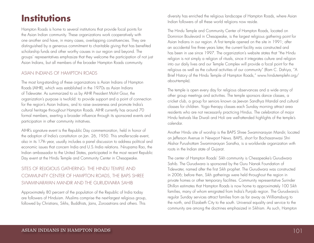### **Institutions**

Hampton Roads is home to several institutions that provide focal points for the Asian Indian community. These organizations work cooperatively with one another and have, in many cases, overlapping constituencies. They are distinguished by a generous commitment to charitable giving that has benefited scholarship funds and other worthy causes in our region and beyond. The groups' representatives emphasize that they welcome the participation of not just Asian Indians, but all members of the broader Hampton Roads community.

#### ASIAN INDIANS OF HAMPTON ROADS

The most long-standing of these organizations is Asian Indians of Hampton Roads (AIHR), which was established in the 1970s as Asian Indians of Tidewater. As summarized to us by AIHR President Mohit Gour, the organization's purpose is twofold: to provide support and a point of connection for the region's Asian Indians, and to raise awareness and promote India's cultural heritage throughout Hampton Roads. AIHR currently has around 70 formal members, exerting a broader influence through its sponsored events and participation in other community initiatives.

AIHR's signature event is the Republic Day commemoration, held in honor of the adoption of India's constitution on Jan. 26, 1950. This smaller-scale event, also in its 17th year, usually includes a panel discussion to address political and economic issues that concern India and U.S.-India relations. Nirupama Rao, the Indian ambassador to the United States, participated in the most recent Republic Day event at the Hindu Temple and Community Center in Chesapeake.

#### SITES OF RELIGIOUS GATHERING: THE HINDU TEMPLE AND COMMUNITY CENTER OF HAMPTON ROADS, THE BAPS SHREE SWAMINARAYAN MANDIR AND THE GURUDWARA SAHIB

Approximately 80 percent of the population of the Republic of India today are followers of Hinduism. Muslims comprise the next-largest religious group, followed by Christians, Sikhs, Buddhists, Jains, Zoroastrians and others. This

diversity has enriched the religious landscape of Hampton Roads, where Asian Indian followers of all these world religions now reside.

The Hindu Temple and Community Center of Hampton Roads, located on Dominion Boulevard in Chesapeake, is the largest religious gathering point for Asian Indians in our region. A first temple opened on the site in 1991; after an accidental fire three years later, the current facility was constructed and has been in use since 1997. The organization's website states that "the Hindu religion is not simply a religion of rituals, since it integrates culture and religion into our daily lives and our Temple Complex will provide a focal point for the religious as well as the cultural activities of our community" (Ram C. Dahiya, "A Brief History of the Hindu Temple of Hampton Roads," www.hindutemplehr.org/ about-temple).

The temple is open every day for religious observances and a wide array of other group meetings and activities. The temple sponsors dance classes, a cricket club, a group for seniors known as Jeevan Sandhya Mandal and cultural classes for children. Yoga therapy classes each Sunday morning attract area residents who are not necessarily practicing Hindus. The celebration of major Hindu festivals like Diwali and Holi are well-attended highlights of the temple's calendar.

Another Hindu site of worship is the BAPS Shree Swaminarayan Mandir, located on Jefferson Avenue in Newport News. BAPS, short for Bochasanwasi Shri Akshar Purushottam Swaminarayan Sanstha, is a worldwide organization with roots in the Indian state of Gujarat.

The center of Hampton Roads' Sikh community is Chesapeake's Gurudwara Sahib. The Gurudwara is sponsored by the Guru Nanak Foundation of Tidewater, named after the first Sikh prophet. The Gurudwara was constructed in 2006; before then, Sikh gatherings were held throughout the region in private homes or other temporary facilities. Community representative Surinder Dhillon estimates that Hampton Roads is now home to approximately 100 Sikh families, many of whom emigrated from India's Punjab region. The Gurudwara's regular Sunday services attract families from as far away as Williamsburg to the north, and Elizabeth City to the south. Universal equality and service to the community are among the doctrines emphasized in Sikhism. As such, Hampton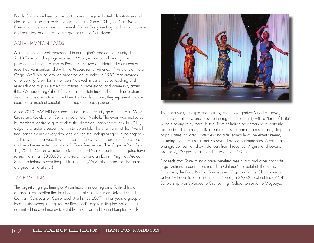Roads' Sikhs have been active participants in regional interfaith initiatives and charitable causes that assist the less fortunate. Since 2011, the Guru Nanak Foundation has sponsored an annual "Fun for Everyone Day" with Indian cuisine and activities for all ages on the grounds of the Gurudwara.

#### AAPI – HAMPTON ROADS

Asian Indians are well represented in our region's medical community. The 2013 Taste of India program listed 146 physicians of Indian origin who practice medicine in Hampton Roads. Eighty-two are identified as current or recent active members of AAPI, the Association of American Physicians of Indian Origin. AAPI is a nationwide organization, founded in 1982, that provides a networking forum for its members "to excel in patient care, teaching and research and to pursue their aspirations in professional and community affairs" (http://aapiusa.org/about/mission.aspx). Both first- and second-generation Asian Indians are active in the Hampton Roads chapter; they represent a wide spectrum of medical specialties and regional backgrounds.

Since 2010, AAPI-HR has sponsored an annual charity gala at the Half Moone Cruise and Celebration Center in downtown Norfolk. The event was motivated by members' desire to give back to the Hampton Roads community. In 2011, outgoing chapter president Rajnish Dhawan told The Virginian-Pilot that "we all treat patients almost every day, and we see the underprivileged in the hospitals. … The whole idea was: If we can collect funds, we can promote free clinics and help the untreated population" (Gary Ruegsegger, The Virginian-Pilot, Feb. 11, 2011). Current chapter president Pramod Malik reports that the galas have raised more than \$300,000 for area clinics and an Eastern Virginia Medical School scholarship over the past four years. (We've also heard that the galas are great fun to attend.)

#### TASTE OF INDIA

The largest single gathering of Asian Indians in our region is Taste of India, an annual celebration that has been held at Old Dominion University's Ted Constant Convocation Center each April since 2007. In that year, a group of local businesspeople, inspired by Richmond's long-standing Festival of India, committed the seed money to establish a similar tradition in Hampton Roads.



The intent was, as explained to us by event co-organizer Vinod Agarwal, to create a great show and provide the regional community with a "taste of India" without having to fly there. In this, Taste of India's organizers have certainly succeeded. The all-day festival features cuisine from area restaurants, shopping opportunities, children's activities and a full schedule of live entertainment, including Indian classical and Bollywood dance performances. A collegiate bhangra competition draws dancers from throughout Virginia and beyond. Around 7,500 people attended Taste of India 2013.

Proceeds from Taste of India have benefited free clinics and other nonprofit organizations in our region, including Children's Hospital of The King's Daughters, the Food Bank of Southeastern Virginia and the Old Dominion University Educational Foundation. This year, a \$5,000 Taste of India/AAPI Scholarship was awarded to Granby High School senior Anne Mugpayo.